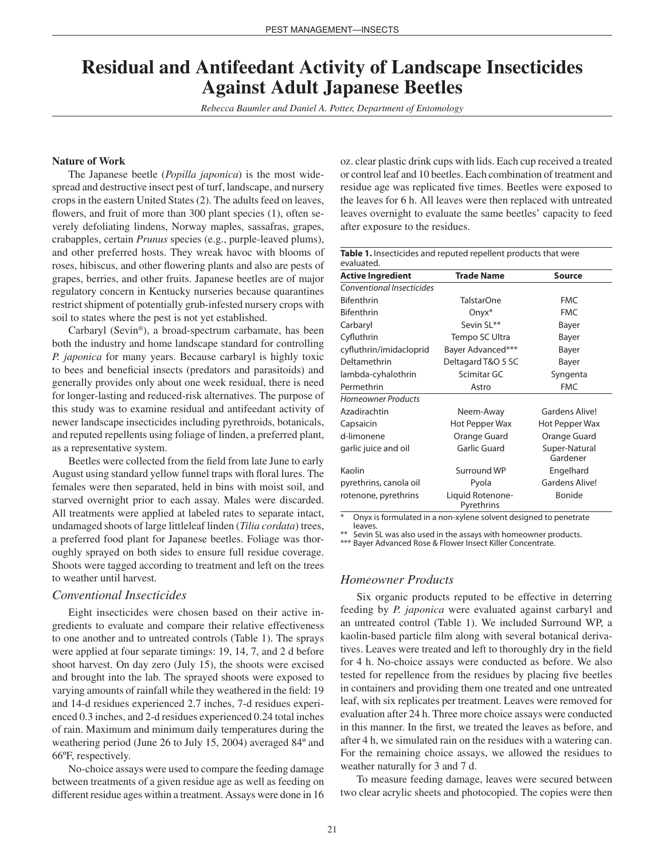# **Residual and Antifeedant Activity of Landscape Insecticides Against Adult Japanese Beetles**

*Rebecca Baumler and Daniel A. Potter, Department of Entomology*

#### **Nature of Work**

The Japanese beetle (*Popilla japonica*) is the most widespread and destructive insect pest of turf, landscape, and nursery crops in the eastern United States (2). The adults feed on leaves, flowers, and fruit of more than 300 plant species (1), often severely defoliating lindens, Norway maples, sassafras, grapes, crabapples, certain *Prunus* species (e.g., purple-leaved plums), and other preferred hosts. They wreak havoc with blooms of roses, hibiscus, and other flowering plants and also are pests of grapes, berries, and other fruits. Japanese beetles are of major regulatory concern in Kentucky nurseries because quarantines restrict shipment of potentially grub-infested nursery crops with soil to states where the pest is not yet established.

Carbaryl (Sevin®), a broad-spectrum carbamate, has been both the industry and home landscape standard for controlling *P. japonica* for many years. Because carbaryl is highly toxic to bees and beneficial insects (predators and parasitoids) and generally provides only about one week residual, there is need for longer-lasting and reduced-risk alternatives. The purpose of this study was to examine residual and antifeedant activity of newer landscape insecticides including pyrethroids, botanicals, and reputed repellents using foliage of linden, a preferred plant, as a representative system.

Beetles were collected from the field from late June to early August using standard yellow funnel traps with floral lures. The females were then separated, held in bins with moist soil, and starved overnight prior to each assay. Males were discarded. All treatments were applied at labeled rates to separate intact, undamaged shoots of large littleleaf linden (*Tilia cordata*) trees, a preferred food plant for Japanese beetles. Foliage was thoroughly sprayed on both sides to ensure full residue coverage. Shoots were tagged according to treatment and left on the trees to weather until harvest.

#### *Conventional Insecticides*

Eight insecticides were chosen based on their active ingredients to evaluate and compare their relative effectiveness to one another and to untreated controls (Table 1). The sprays were applied at four separate timings: 19, 14, 7, and 2 d before shoot harvest. On day zero (July 15), the shoots were excised and brought into the lab. The sprayed shoots were exposed to varying amounts of rainfall while they weathered in the field: 19 and 14-d residues experienced 2.7 inches, 7-d residues experienced 0.3 inches, and 2-d residues experienced 0.24 total inches of rain. Maximum and minimum daily temperatures during the weathering period (June 26 to July 15, 2004) averaged 84º and 66ºF, respectively.

No-choice assays were used to compare the feeding damage between treatments of a given residue age as well as feeding on different residue ages within a treatment. Assays were done in 16 oz. clear plastic drink cups with lids. Each cup received a treated or control leaf and 10 beetles. Each combination of treatment and residue age was replicated five times. Beetles were exposed to the leaves for 6 h. All leaves were then replaced with untreated leaves overnight to evaluate the same beetles' capacity to feed after exposure to the residues.

| Table 1. Insecticides and reputed repellent products that were<br>evaluated. |                           |
|------------------------------------------------------------------------------|---------------------------|
| <b>Trade Name</b>                                                            | <b>Source</b>             |
|                                                                              |                           |
| <b>TalstarOne</b>                                                            | <b>FMC</b>                |
| $Onyx^*$                                                                     | <b>FMC</b>                |
| Sevin SL**                                                                   | Bayer                     |
| Tempo SC Ultra                                                               | Bayer                     |
| Bayer Advanced***                                                            | Bayer                     |
| Deltagard T&O 5 SC                                                           | Bayer                     |
| Scimitar GC                                                                  | Syngenta                  |
| Astro                                                                        | <b>FMC</b>                |
|                                                                              |                           |
| Neem-Away                                                                    | Gardens Alive!            |
| Hot Pepper Wax                                                               | Hot Pepper Wax            |
| Orange Guard                                                                 | Orange Guard              |
| <b>Garlic Guard</b>                                                          | Super-Natural<br>Gardener |
| Surround WP                                                                  | Engelhard                 |
| Pyola                                                                        | <b>Gardens Alive!</b>     |
| Liquid Rotenone-<br>Pyrethrins                                               | Bonide                    |
|                                                                              |                           |

Onyx is formulated in a non-xylene solvent designed to penetrate leaves.

Sevin SL was also used in the assays with homeowner products.

\*\*\* Bayer Advanced Rose & Flower Insect Killer Concentrate.

#### *Homeowner Products*

Six organic products reputed to be effective in deterring feeding by *P. japonica* were evaluated against carbaryl and an untreated control (Table 1). We included Surround WP, a kaolin-based particle film along with several botanical derivatives. Leaves were treated and left to thoroughly dry in the field for 4 h. No-choice assays were conducted as before. We also tested for repellence from the residues by placing five beetles in containers and providing them one treated and one untreated leaf, with six replicates per treatment. Leaves were removed for evaluation after 24 h. Three more choice assays were conducted in this manner. In the first, we treated the leaves as before, and after 4 h, we simulated rain on the residues with a watering can. For the remaining choice assays, we allowed the residues to weather naturally for 3 and 7 d.

To measure feeding damage, leaves were secured between two clear acrylic sheets and photocopied. The copies were then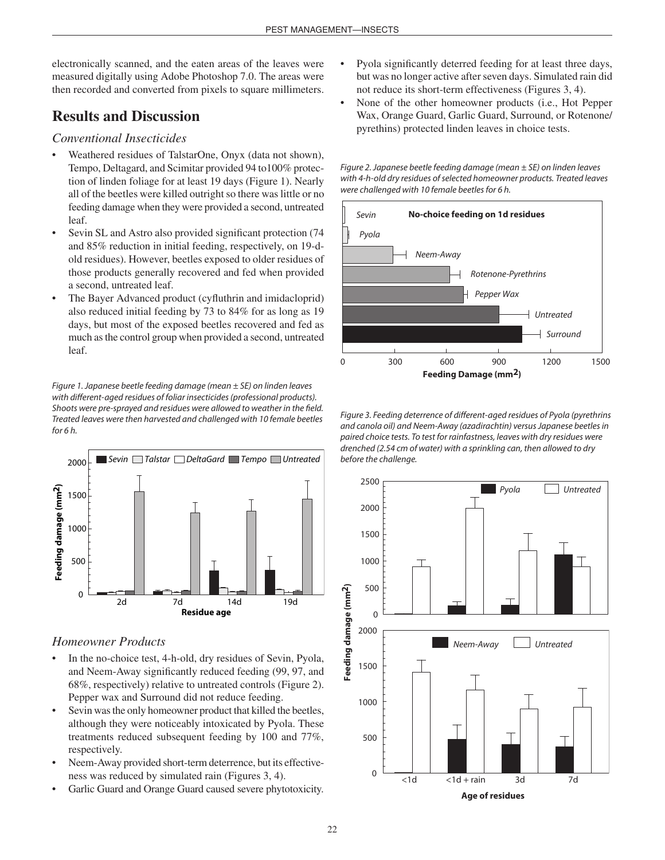electronically scanned, and the eaten areas of the leaves were measured digitally using Adobe Photoshop 7.0. The areas were then recorded and converted from pixels to square millimeters.

### **Results and Discussion**

### *Conventional Insecticides*

- Weathered residues of TalstarOne, Onyx (data not shown), Tempo, Deltagard, and Scimitar provided 94 to100% protection of linden foliage for at least 19 days (Figure 1). Nearly all of the beetles were killed outright so there was little or no feeding damage when they were provided a second, untreated leaf.
- Sevin SL and Astro also provided significant protection (74 and 85% reduction in initial feeding, respectively, on 19-dold residues). However, beetles exposed to older residues of those products generally recovered and fed when provided a second, untreated leaf.
- The Bayer Advanced product (cyfluthrin and imidacloprid) also reduced initial feeding by 73 to 84% for as long as 19 days, but most of the exposed beetles recovered and fed as much as the control group when provided a second, untreated leaf.

*Figure 1. Japanese beetle feeding damage (mean ± SE) on linden leaves with different-aged residues of foliar insecticides (professional products). Shoots were pre-sprayed and residues were allowed to weather in the field. Treated leaves were then harvested and challenged with 10 female beetles for 6 h.* 



### *Homeowner Products*

- In the no-choice test, 4-h-old, dry residues of Sevin, Pyola, and Neem-Away significantly reduced feeding (99, 97, and 68%, respectively) relative to untreated controls (Figure 2). Pepper wax and Surround did not reduce feeding.
- Sevin was the only homeowner product that killed the beetles, although they were noticeably intoxicated by Pyola. These treatments reduced subsequent feeding by 100 and 77%, respectively.
- Neem-Away provided short-term deterrence, but its effectiveness was reduced by simulated rain (Figures 3, 4).
- Garlic Guard and Orange Guard caused severe phytotoxicity.
- Pyola significantly deterred feeding for at least three days, but was no longer active after seven days. Simulated rain did not reduce its short-term effectiveness (Figures 3, 4).
- None of the other homeowner products (i.e., Hot Pepper Wax, Orange Guard, Garlic Guard, Surround, or Rotenone/ pyrethins) protected linden leaves in choice tests.

*Figure 2. Japanese beetle feeding damage (mean ± SE) on linden leaves with 4-h-old dry residues of selected homeowner products. Treated leaves were challenged with 10 female beetles for 6 h.* 



*Figure 3. Feeding deterrence of different-aged residues of Pyola (pyrethrins and canola oil) and Neem-Away (azadirachtin) versus Japanese beetles in paired choice tests. To test for rainfastness, leaves with dry residues were drenched (2.54 cm of water) with a sprinkling can, then allowed to dry before the challenge.*